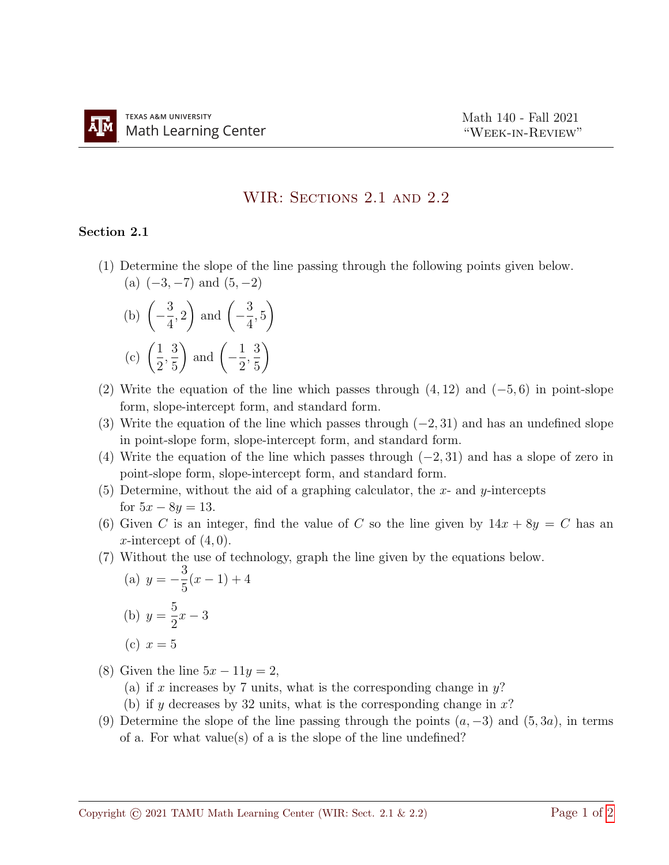## WIR: SECTIONS 2.1 AND 2.2

## Section 2.1

(1) Determine the slope of the line passing through the following points given below. (a)  $(-3, -7)$  and  $(5, -2)$ 

(b) 
$$
\left(-\frac{3}{4}, 2\right)
$$
 and  $\left(-\frac{3}{4}, 5\right)$   
(c)  $\left(\frac{1}{2}, \frac{3}{5}\right)$  and  $\left(-\frac{1}{2}, \frac{3}{5}\right)$ 

- (2) Write the equation of the line which passes through  $(4, 12)$  and  $(-5, 6)$  in point-slope form, slope-intercept form, and standard form.
- (3) Write the equation of the line which passes through  $(-2, 31)$  and has an undefined slope in point-slope form, slope-intercept form, and standard form.
- (4) Write the equation of the line which passes through  $(-2, 31)$  and has a slope of zero in point-slope form, slope-intercept form, and standard form.
- (5) Determine, without the aid of a graphing calculator, the x- and y-intercepts for  $5x - 8y = 13$ .
- (6) Given C is an integer, find the value of C so the line given by  $14x + 8y = C$  has an x-intercept of  $(4, 0)$ .
- (7) Without the use of technology, graph the line given by the equations below.

(a) 
$$
y = -\frac{3}{5}(x - 1) + 4
$$
  
\n(b)  $y = \frac{5}{2}x - 3$ 

- (c)  $x = 5$
- (8) Given the line  $5x 11y = 2$ ,
	- (a) if x increases by 7 units, what is the corresponding change in  $y$ ?
	- (b) if y decreases by 32 units, what is the corresponding change in  $x$ ?
- (9) Determine the slope of the line passing through the points  $(a, -3)$  and  $(5, 3a)$ , in terms of a. For what value(s) of a is the slope of the line undefined?